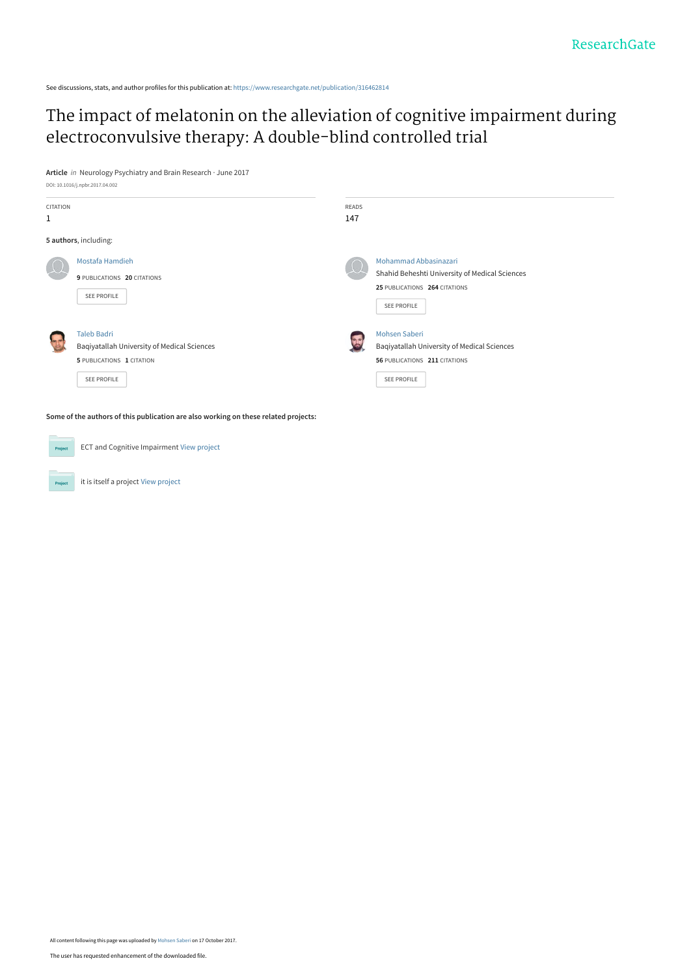See discussions, stats, and author profiles for this publication at: [https://www.researchgate.net/publication/316462814](https://www.researchgate.net/publication/316462814_The_impact_of_melatonin_on_the_alleviation_of_cognitive_impairment_during_electroconvulsive_therapy_A_double-blind_controlled_trial?enrichId=rgreq-295fa9c92494efa1ff9a86acc11dfd09-XXX&enrichSource=Y292ZXJQYWdlOzMxNjQ2MjgxNDtBUzo1NTA0MjI5MDMzNTMzNDRAMTUwODI0MjQ1NDA5MA%3D%3D&el=1_x_2&_esc=publicationCoverPdf)

# [The impact of melatonin on the alleviation of cognitive impairment during](https://www.researchgate.net/publication/316462814_The_impact_of_melatonin_on_the_alleviation_of_cognitive_impairment_during_electroconvulsive_therapy_A_double-blind_controlled_trial?enrichId=rgreq-295fa9c92494efa1ff9a86acc11dfd09-XXX&enrichSource=Y292ZXJQYWdlOzMxNjQ2MjgxNDtBUzo1NTA0MjI5MDMzNTMzNDRAMTUwODI0MjQ1NDA5MA%3D%3D&el=1_x_3&_esc=publicationCoverPdf) electroconvulsive therapy: A double-blind controlled trial

**Article** in Neurology Psychiatry and Brain Research · June 2017



**Some of the authors of this publication are also working on these related projects:**

ECT and Cognitive Impairment [View project](https://www.researchgate.net/project/ECT-and-Cognitive-Impairment?enrichId=rgreq-295fa9c92494efa1ff9a86acc11dfd09-XXX&enrichSource=Y292ZXJQYWdlOzMxNjQ2MjgxNDtBUzo1NTA0MjI5MDMzNTMzNDRAMTUwODI0MjQ1NDA5MA%3D%3D&el=1_x_9&_esc=publicationCoverPdf) it is itself a project [View project](https://www.researchgate.net/project/it-is-itself-a-project?enrichId=rgreq-295fa9c92494efa1ff9a86acc11dfd09-XXX&enrichSource=Y292ZXJQYWdlOzMxNjQ2MjgxNDtBUzo1NTA0MjI5MDMzNTMzNDRAMTUwODI0MjQ1NDA5MA%3D%3D&el=1_x_9&_esc=publicationCoverPdf) Project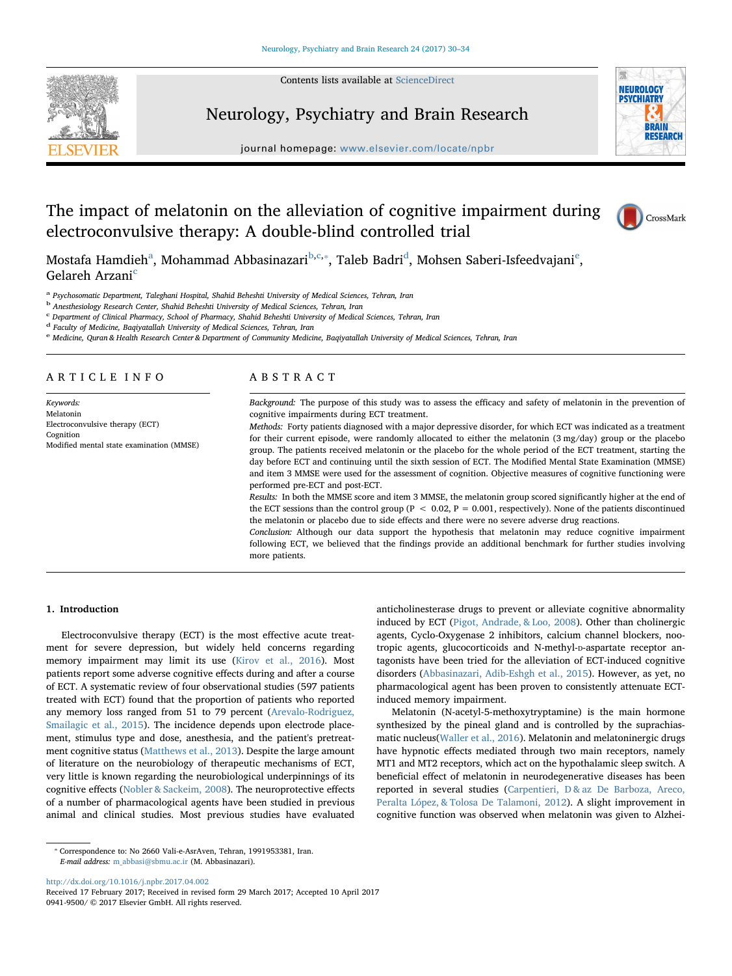Contents lists available at [ScienceDirect](http://www.sciencedirect.com/science/journal/09419500)



**NEUROLOGY PSYCHIATRY BRAIN RESEARCH** 

# Neurology, Psychiatry and Brain Research

journal homepage: [www.elsevier.com/locate/npbr](http://www.elsevier.com/locate/npbr)

# The impact of melatonin on the alleviation of cognitive impairment during electroconvulsive therapy: A double-blind controlled trial



Most[a](#page-1-0)fa Hamdieh<sup>a</sup>, Mohammad A[b](#page-1-1)basinazari<sup>b,[c](#page-1-2),</sup>\*, Taleb Ba[d](#page-1-4)ri<sup>d</sup>, Mohs[e](#page-1-5)n Saberi-Isfeedvajani<sup>e</sup>, Gelareh Arzani<sup>[c](#page-1-2)</sup>

<span id="page-1-0"></span><sup>a</sup> Psychosomatic Department, Taleghani Hospital, Shahid Beheshti University of Medical Sciences, Tehran, Iran

<span id="page-1-1"></span><sup>b</sup> Anesthesiology Research Center, Shahid Beheshti University of Medical Sciences, Tehran, Iran

<span id="page-1-2"></span><sup>c</sup> Department of Clinical Pharmacy, School of Pharmacy, Shahid Beheshti University of Medical Sciences, Tehran, Iran

<span id="page-1-4"></span><sup>d</sup> Faculty of Medicine, Baqiyatallah University of Medical Sciences, Tehran, Iran

<span id="page-1-5"></span><sup>e</sup> Medicine, Quran & Health Research Center & Department of Community Medicine, Baqiyatallah University of Medical Sciences, Tehran, Iran

### ARTICLE INFO

Keywords: Melatonin Electroconvulsive therapy (ECT) Cognition Modified mental state examination (MMSE)

# ABSTRACT

Background: The purpose of this study was to assess the efficacy and safety of melatonin in the prevention of cognitive impairments during ECT treatment.

Methods: Forty patients diagnosed with a major depressive disorder, for which ECT was indicated as a treatment for their current episode, were randomly allocated to either the melatonin (3 mg/day) group or the placebo group. The patients received melatonin or the placebo for the whole period of the ECT treatment, starting the day before ECT and continuing until the sixth session of ECT. The Modified Mental State Examination (MMSE) and item 3 MMSE were used for the assessment of cognition. Objective measures of cognitive functioning were performed pre-ECT and post-ECT.

Results: In both the MMSE score and item 3 MMSE, the melatonin group scored significantly higher at the end of the ECT sessions than the control group ( $P < 0.02$ ,  $P = 0.001$ , respectively). None of the patients discontinued the melatonin or placebo due to side effects and there were no severe adverse drug reactions.

Conclusion: Although our data support the hypothesis that melatonin may reduce cognitive impairment following ECT, we believed that the findings provide an additional benchmark for further studies involving more patients.

### 1. Introduction

Electroconvulsive therapy (ECT) is the most effective acute treatment for severe depression, but widely held concerns regarding memory impairment may limit its use ([Kirov et al., 2016](#page-5-0)). Most patients report some adverse cognitive effects during and after a course of ECT. A systematic review of four observational studies (597 patients treated with ECT) found that the proportion of patients who reported any memory loss ranged from 51 to 79 percent ([Arevalo-Rodriguez,](#page-5-1) [Smailagic et al., 2015\)](#page-5-1). The incidence depends upon electrode placement, stimulus type and dose, anesthesia, and the patient's pretreatment cognitive status [\(Matthews et al., 2013](#page-5-2)). Despite the large amount of literature on the neurobiology of therapeutic mechanisms of ECT, very little is known regarding the neurobiological underpinnings of its cognitive effects [\(Nobler & Sackeim, 2008\)](#page-5-3). The neuroprotective effects of a number of pharmacological agents have been studied in previous animal and clinical studies. Most previous studies have evaluated anticholinesterase drugs to prevent or alleviate cognitive abnormality induced by ECT ([Pigot, Andrade, & Loo, 2008\)](#page-5-4). Other than cholinergic agents, Cyclo-Oxygenase 2 inhibitors, calcium channel blockers, nootropic agents, glucocorticoids and N-methyl-D-aspartate receptor antagonists have been tried for the alleviation of ECT-induced cognitive disorders [\(Abbasinazari, Adib-Eshgh et al., 2015\)](#page-5-5). However, as yet, no pharmacological agent has been proven to consistently attenuate ECTinduced memory impairment.

Melatonin (N-acetyl-5-methoxytryptamine) is the main hormone synthesized by the pineal gland and is controlled by the suprachiasmatic nucleus([Waller et al., 2016\)](#page-5-6). Melatonin and melatoninergic drugs have hypnotic effects mediated through two main receptors, namely MT1 and MT2 receptors, which act on the hypothalamic sleep switch. A beneficial effect of melatonin in neurodegenerative diseases has been reported in several studies [\(Carpentieri, D & az De Barboza, Areco,](#page-5-7) [Peralta López, & Tolosa De Talamoni, 2012](#page-5-7)). A slight improvement in cognitive function was observed when melatonin was given to Alzhei-

<http://dx.doi.org/10.1016/j.npbr.2017.04.002>

<span id="page-1-3"></span><sup>⁎</sup> Correspondence to: No 2660 Vali-e-AsrAven, Tehran, 1991953381, Iran. E-mail address: [m\\_abbasi@sbmu.ac.ir](mailto:m_abbasi@sbmu.ac.ir) (M. Abbasinazari).

Received 17 February 2017; Received in revised form 29 March 2017; Accepted 10 April 2017 0941-9500/ © 2017 Elsevier GmbH. All rights reserved.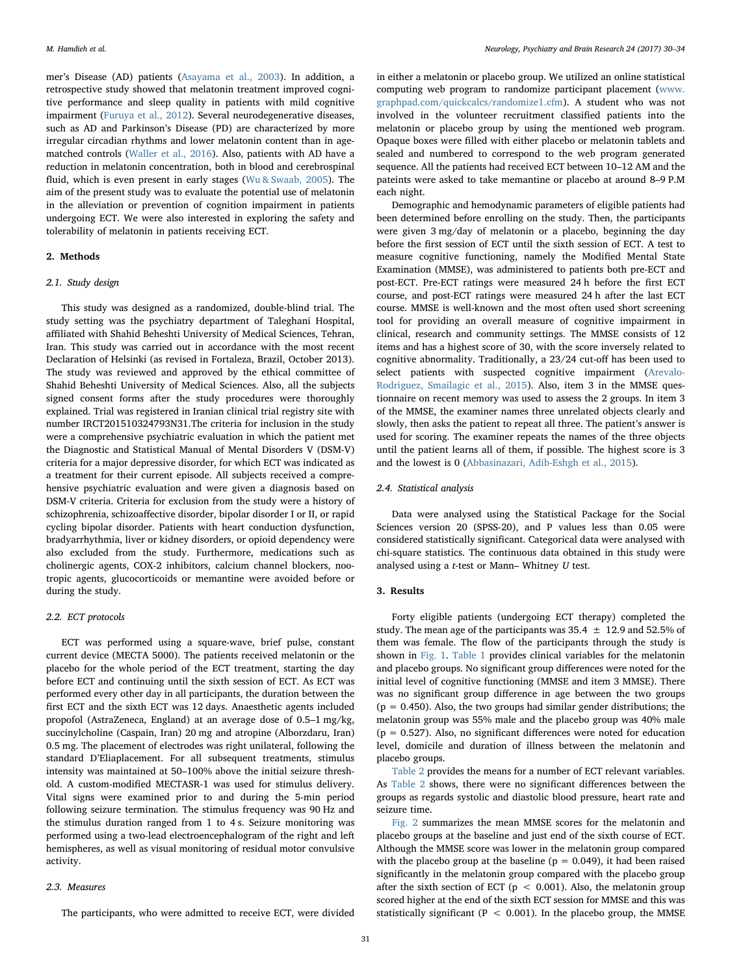mer's Disease (AD) patients ([Asayama et al., 2003\)](#page-5-8). In addition, a retrospective study showed that melatonin treatment improved cognitive performance and sleep quality in patients with mild cognitive impairment ([Furuya et al., 2012](#page-5-9)). Several neurodegenerative diseases, such as AD and Parkinson's Disease (PD) are characterized by more irregular circadian rhythms and lower melatonin content than in agematched controls [\(Waller et al., 2016\)](#page-5-6). Also, patients with AD have a reduction in melatonin concentration, both in blood and cerebrospinal fluid, which is even present in early stages ([Wu & Swaab, 2005\)](#page-5-10). The aim of the present study was to evaluate the potential use of melatonin in the alleviation or prevention of cognition impairment in patients undergoing ECT. We were also interested in exploring the safety and tolerability of melatonin in patients receiving ECT.

# 2. Methods

# 2.1. Study design

This study was designed as a randomized, double-blind trial. The study setting was the psychiatry department of Taleghani Hospital, affiliated with Shahid Beheshti University of Medical Sciences, Tehran, Iran. This study was carried out in accordance with the most recent Declaration of Helsinki (as revised in Fortaleza, Brazil, October 2013). The study was reviewed and approved by the ethical committee of Shahid Beheshti University of Medical Sciences. Also, all the subjects signed consent forms after the study procedures were thoroughly explained. Trial was registered in Iranian clinical trial registry site with number IRCT201510324793N31.The criteria for inclusion in the study were a comprehensive psychiatric evaluation in which the patient met the Diagnostic and Statistical Manual of Mental Disorders V (DSM-V) criteria for a major depressive disorder, for which ECT was indicated as a treatment for their current episode. All subjects received a comprehensive psychiatric evaluation and were given a diagnosis based on DSM-V criteria. Criteria for exclusion from the study were a history of schizophrenia, schizoaffective disorder, bipolar disorder I or II, or rapid cycling bipolar disorder. Patients with heart conduction dysfunction, bradyarrhythmia, liver or kidney disorders, or opioid dependency were also excluded from the study. Furthermore, medications such as cholinergic agents, COX-2 inhibitors, calcium channel blockers, nootropic agents, glucocorticoids or memantine were avoided before or during the study.

### 2.2. ECT protocols

ECT was performed using a square-wave, brief pulse, constant current device (MECTA 5000). The patients received melatonin or the placebo for the whole period of the ECT treatment, starting the day before ECT and continuing until the sixth session of ECT. As ECT was performed every other day in all participants, the duration between the first ECT and the sixth ECT was 12 days. Anaesthetic agents included propofol (AstraZeneca, England) at an average dose of 0.5–1 mg/kg, succinylcholine (Caspain, Iran) 20 mg and atropine (Alborzdaru, Iran) 0.5 mg. The placement of electrodes was right unilateral, following the standard D'Eliaplacement. For all subsequent treatments, stimulus intensity was maintained at 50–100% above the initial seizure threshold. A custom-modified MECTASR-1 was used for stimulus delivery. Vital signs were examined prior to and during the 5-min period following seizure termination. The stimulus frequency was 90 Hz and the stimulus duration ranged from 1 to 4 s. Seizure monitoring was performed using a two-lead electroencephalogram of the right and left hemispheres, as well as visual monitoring of residual motor convulsive activity.

#### 2.3. Measures

The participants, who were admitted to receive ECT, were divided

in either a melatonin or placebo group. We utilized an online statistical computing web program to randomize participant placement ([www.](http://www.graphpad.com/quickcalcs/randomize1.cfm) [graphpad.com/quickcalcs/randomize1.cfm](http://www.graphpad.com/quickcalcs/randomize1.cfm)). A student who was not involved in the volunteer recruitment classified patients into the melatonin or placebo group by using the mentioned web program. Opaque boxes were filled with either placebo or melatonin tablets and sealed and numbered to correspond to the web program generated sequence. All the patients had received ECT between 10–12 AM and the pateints were asked to take memantine or placebo at around 8–9 P.M each night.

Demographic and hemodynamic parameters of eligible patients had been determined before enrolling on the study. Then, the participants were given 3 mg/day of melatonin or a placebo, beginning the day before the first session of ECT until the sixth session of ECT. A test to measure cognitive functioning, namely the Modified Mental State Examination (MMSE), was administered to patients both pre-ECT and post-ECT. Pre-ECT ratings were measured 24 h before the first ECT course, and post-ECT ratings were measured 24 h after the last ECT course. MMSE is well-known and the most often used short screening tool for providing an overall measure of cognitive impairment in clinical, research and community settings. The MMSE consists of 12 items and has a highest score of 30, with the score inversely related to cognitive abnormality. Traditionally, a 23/24 cut-off has been used to select patients with suspected cognitive impairment ([Arevalo-](#page-5-1)[Rodriguez, Smailagic et al., 2015](#page-5-1)). Also, item 3 in the MMSE questionnaire on recent memory was used to assess the 2 groups. In item 3 of the MMSE, the examiner names three unrelated objects clearly and slowly, then asks the patient to repeat all three. The patient's answer is used for scoring. The examiner repeats the names of the three objects until the patient learns all of them, if possible. The highest score is 3 and the lowest is 0 ([Abbasinazari, Adib-Eshgh et al., 2015](#page-5-5)).

### 2.4. Statistical analysis

Data were analysed using the Statistical Package for the Social Sciences version 20 (SPSS-20), and P values less than 0.05 were considered statistically significant. Categorical data were analysed with chi-square statistics. The continuous data obtained in this study were analysed using a  $t$ -test or Mann– Whitney  $U$  test.

#### 3. Results

Forty eligible patients (undergoing ECT therapy) completed the study. The mean age of the participants was  $35.4 \pm 12.9$  and  $52.5\%$  of them was female. The flow of the participants through the study is shown in [Fig. 1](#page-3-0). [Table 1](#page-3-1) provides clinical variables for the melatonin and placebo groups. No significant group differences were noted for the initial level of cognitive functioning (MMSE and item 3 MMSE). There was no significant group difference in age between the two groups  $(p = 0.450)$ . Also, the two groups had similar gender distributions; the melatonin group was 55% male and the placebo group was 40% male  $(p = 0.527)$ . Also, no significant differences were noted for education level, domicile and duration of illness between the melatonin and placebo groups.

[Table 2](#page-3-2) provides the means for a number of ECT relevant variables. As [Table 2](#page-3-2) shows, there were no significant differences between the groups as regards systolic and diastolic blood pressure, heart rate and seizure time.

[Fig. 2](#page-4-0) summarizes the mean MMSE scores for the melatonin and placebo groups at the baseline and just end of the sixth course of ECT. Although the MMSE score was lower in the melatonin group compared with the placebo group at the baseline ( $p = 0.049$ ), it had been raised significantly in the melatonin group compared with the placebo group after the sixth section of ECT ( $p < 0.001$ ). Also, the melatonin group scored higher at the end of the sixth ECT session for MMSE and this was statistically significant ( $P < 0.001$ ). In the placebo group, the MMSE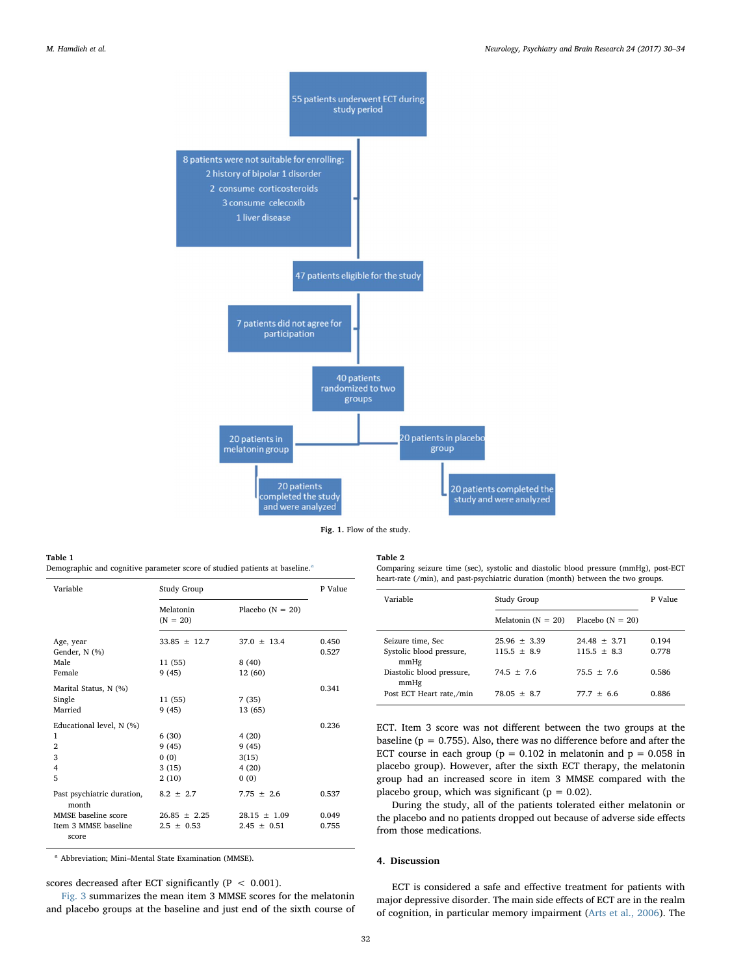<span id="page-3-0"></span>

Fig. 1. Flow of the study.

#### <span id="page-3-1"></span>Table 1

Demogr[a](#page-3-3)phic and cognitive parameter score of studied patients at baseline.<sup>a</sup>

| Variable                            | Study Group             |                    |                |
|-------------------------------------|-------------------------|--------------------|----------------|
|                                     | Melatonin<br>$(N = 20)$ | Placebo $(N = 20)$ |                |
| Age, year<br>Gender, N (%)          | $33.85 \pm 12.7$        | $37.0 \pm 13.4$    | 0.450<br>0.527 |
| Male                                | 11(55)                  | 8(40)              |                |
| Female                              | 9(45)                   | 12 (60)            |                |
| Marital Status, N (%)               |                         |                    | 0.341          |
| Single                              | 11(55)                  | 7(35)              |                |
| Married                             | 9(45)                   | 13 (65)            |                |
| Educational level, N (%)            |                         |                    | 0.236          |
| 1                                   | 6(30)                   | 4(20)              |                |
| $\overline{2}$                      | 9(45)                   | 9(45)              |                |
| 3                                   | 0(0)                    | 3(15)              |                |
| 4                                   | 3(15)                   | 4(20)              |                |
| 5                                   | 2(10)                   | 0(0)               |                |
| Past psychiatric duration,<br>month | $8.2 \pm 2.7$           | $7.75 \pm 2.6$     | 0.537          |
| MMSE baseline score                 | $26.85 + 2.25$          | $28.15 + 1.09$     | 0.049          |
| Item 3 MMSE baseline<br>score       | $2.5 \pm 0.53$          | $2.45 \pm 0.51$    | 0.755          |

<span id="page-3-3"></span><sup>a</sup> Abbreviation; Mini–Mental State Examination (MMSE).

scores decreased after ECT significantly ( $P < 0.001$ ).

[Fig. 3](#page-4-1) summarizes the mean item 3 MMSE scores for the melatonin and placebo groups at the baseline and just end of the sixth course of

#### <span id="page-3-2"></span>Table 2

Comparing seizure time (sec), systolic and diastolic blood pressure (mmHg), post-ECT heart-rate (/min), and past-psychiatric duration (month) between the two groups.

| Variable                                              | Study Group                     |                                 | P Value        |
|-------------------------------------------------------|---------------------------------|---------------------------------|----------------|
|                                                       | Melatonin $(N = 20)$            | Placebo $(N = 20)$              |                |
| Seizure time, Sec<br>Systolic blood pressure,<br>mmHg | $25.96 + 3.39$<br>$115.5 + 8.9$ | $24.48 + 3.71$<br>$115.5 + 8.3$ | 0.194<br>0.778 |
| Diastolic blood pressure,<br>mmHg                     | $74.5 + 7.6$                    | $75.5 + 7.6$                    | 0.586          |
| Post ECT Heart rate,/min                              | $78.05 + 8.7$                   | $77.7 + 6.6$                    | 0.886          |

ECT. Item 3 score was not different between the two groups at the baseline ( $p = 0.755$ ). Also, there was no difference before and after the ECT course in each group ( $p = 0.102$  in melatonin and  $p = 0.058$  in placebo group). However, after the sixth ECT therapy, the melatonin group had an increased score in item 3 MMSE compared with the placebo group, which was significant ( $p = 0.02$ ).

During the study, all of the patients tolerated either melatonin or the placebo and no patients dropped out because of adverse side effects from those medications.

#### 4. Discussion

ECT is considered a safe and effective treatment for patients with major depressive disorder. The main side effects of ECT are in the realm of cognition, in particular memory impairment [\(Arts et al., 2006\)](#page-5-11). The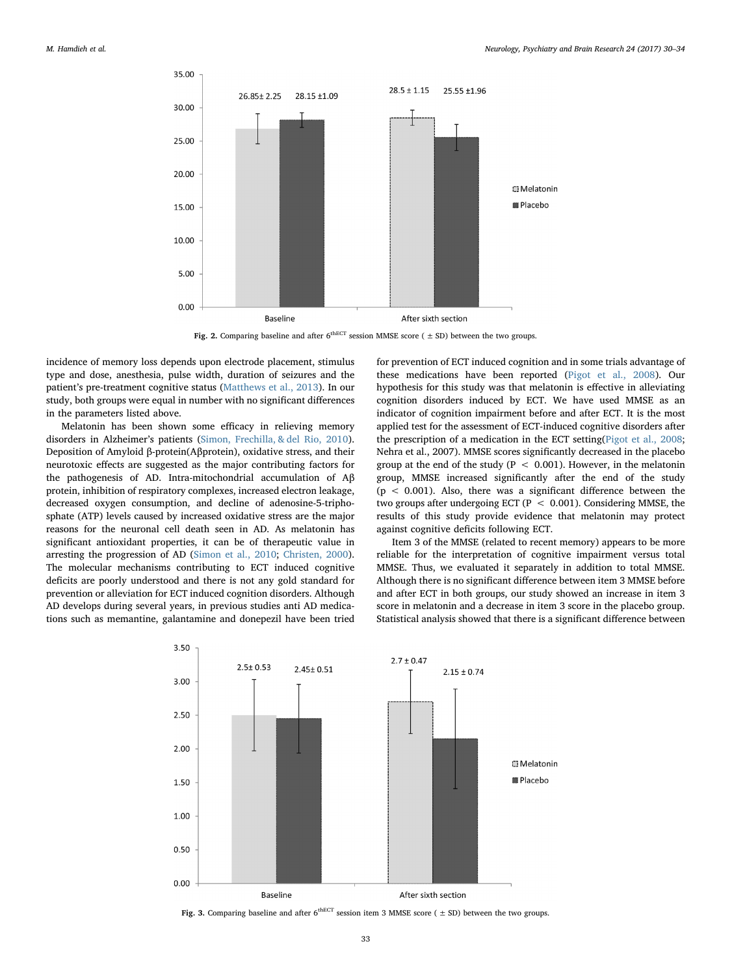<span id="page-4-0"></span>

Fig. 2. Comparing baseline and after  $6^{\text{thECT}}$  session MMSE score ( $\pm$  SD) between the two groups.

incidence of memory loss depends upon electrode placement, stimulus type and dose, anesthesia, pulse width, duration of seizures and the patient's pre-treatment cognitive status ([Matthews et al., 2013](#page-5-2)). In our study, both groups were equal in number with no significant differences in the parameters listed above.

Melatonin has been shown some efficacy in relieving memory disorders in Alzheimer's patients [\(Simon, Frechilla, & del Rio, 2010](#page-5-12)). Deposition of Amyloid β-protein(Aβprotein), oxidative stress, and their neurotoxic effects are suggested as the major contributing factors for the pathogenesis of AD. Intra-mitochondrial accumulation of Aβ protein, inhibition of respiratory complexes, increased electron leakage, decreased oxygen consumption, and decline of adenosine-5-triphosphate (ATP) levels caused by increased oxidative stress are the major reasons for the neuronal cell death seen in AD. As melatonin has significant antioxidant properties, it can be of therapeutic value in arresting the progression of AD ([Simon et al., 2010](#page-5-12); [Christen, 2000](#page-5-13)). The molecular mechanisms contributing to ECT induced cognitive deficits are poorly understood and there is not any gold standard for prevention or alleviation for ECT induced cognition disorders. Although AD develops during several years, in previous studies anti AD medications such as memantine, galantamine and donepezil have been tried for prevention of ECT induced cognition and in some trials advantage of these medications have been reported [\(Pigot et al., 2008](#page-5-4)). Our hypothesis for this study was that melatonin is effective in alleviating cognition disorders induced by ECT. We have used MMSE as an indicator of cognition impairment before and after ECT. It is the most applied test for the assessment of ECT-induced cognitive disorders after the prescription of a medication in the ECT setting([Pigot et al., 2008](#page-5-4); Nehra et al., 2007). MMSE scores significantly decreased in the placebo group at the end of the study ( $P < 0.001$ ). However, in the melatonin group, MMSE increased significantly after the end of the study  $(p < 0.001)$ . Also, there was a significant difference between the two groups after undergoing ECT ( $P < 0.001$ ). Considering MMSE, the results of this study provide evidence that melatonin may protect against cognitive deficits following ECT.

Item 3 of the MMSE (related to recent memory) appears to be more reliable for the interpretation of cognitive impairment versus total MMSE. Thus, we evaluated it separately in addition to total MMSE. Although there is no significant difference between item 3 MMSE before and after ECT in both groups, our study showed an increase in item 3 score in melatonin and a decrease in item 3 score in the placebo group. Statistical analysis showed that there is a significant difference between

<span id="page-4-1"></span>

Fig. 3. Comparing baseline and after  $6^{\text{thECT}}$  session item 3 MMSE score ( $\pm$  SD) between the two groups.